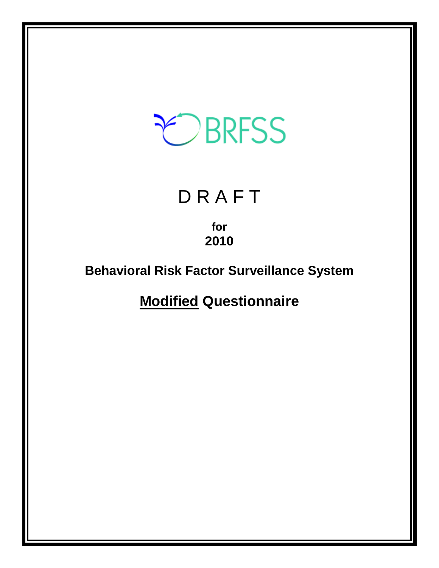# CBRFSS

## **DRAFT**

**for 2010** 

## **Behavioral Risk Factor Surveillance System**

**Modified Questionnaire**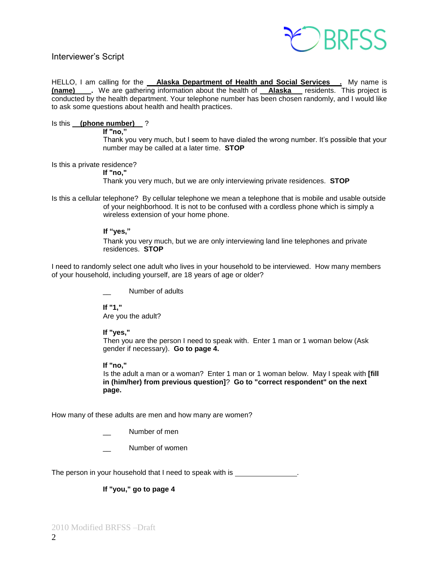

#### Interviewer's Script

HELLO, I am calling for the **Alaska Department of Health and Social Services**. My name is **(name)** Ne are gathering information about the health of **Alaska** residents. This project is conducted by the health department. Your telephone number has been chosen randomly, and I would like to ask some questions about health and health practices.

#### Is this **(phone number)** ?

**If "no,‖** 

Thank you very much, but I seem to have dialed the wrong number. It's possible that your number may be called at a later time. **STOP**

Is this a private residence?

**If "no,"**

Thank you very much, but we are only interviewing private residences. **STOP**

Is this a cellular telephone? By cellular telephone we mean a telephone that is mobile and usable outside of your neighborhood. It is not to be confused with a cordless phone which is simply a wireless extension of your home phone.

#### If "ves."

Thank you very much, but we are only interviewing land line telephones and private residences. **STOP**

I need to randomly select one adult who lives in your household to be interviewed. How many members of your household, including yourself, are 18 years of age or older?

Number of adults

**If "1,"**  Are you the adult?

#### **If "yes,"**

Then you are the person I need to speak with. Enter 1 man or 1 woman below (Ask gender if necessary). **Go to page 4.**

#### **If "no,"**

Is the adult a man or a woman? Enter 1 man or 1 woman below. May I speak with **[fill in (him/her) from previous question]**? **Go to "correct respondent" on the next page.**

How many of these adults are men and how many are women?

Number of men

Number of women

The person in your household that I need to speak with is

#### **If "you," go to page 4**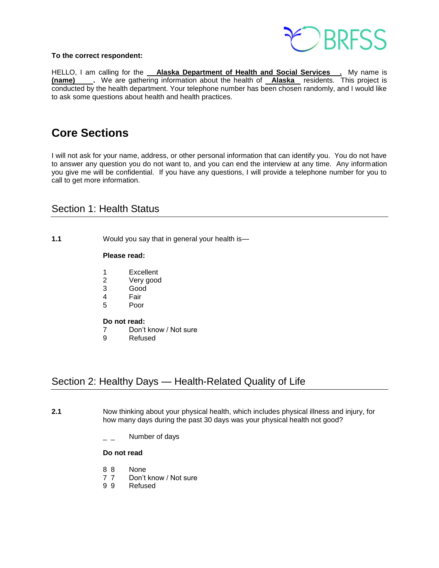

#### **To the correct respondent:**

HELLO, I am calling for the **Alaska Department of Health and Social Services**. My name is **(name)** We are gathering information about the health of **Alaska** residents. This project is conducted by the health department. Your telephone number has been chosen randomly, and I would like to ask some questions about health and health practices.

## **Core Sections**

I will not ask for your name, address, or other personal information that can identify you. You do not have to answer any question you do not want to, and you can end the interview at any time. Any information you give me will be confidential. If you have any questions, I will provide a telephone number for you to call to get more information.

## Section 1: Health Status

**1.1** Would you say that in general your health is—

#### **Please read:**

- 1 Excellent
- 2 Very good<br>3 Good
- Good
- 4 Fair
- 5 Poor

#### **Do not read:**

- 7 Don't know / Not sure
- 9 Refused

## Section 2: Healthy Days — Health-Related Quality of Life

- **2.1** Now thinking about your physical health, which includes physical illness and injury, for how many days during the past 30 days was your physical health not good?
	- Number of days

- 8 8 None
- 7 7 Don't know / Not sure
- 9 9 Refused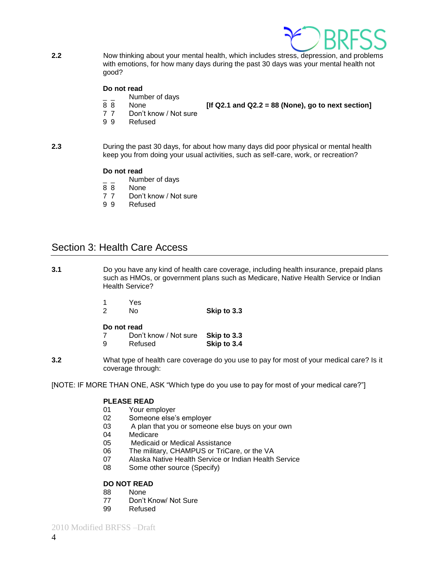

**2.2** Now thinking about your mental health, which includes stress, depression, and problems with emotions, for how many days during the past 30 days was your mental health not good?

#### **Do not read**

- $\frac{1}{8}$   $\frac{1}{8}$  Number of days
	-

8 8 None **[If Q2.1 and Q2.2 = 88 (None), go to next section]** 

- 7 7 Don't know / Not sure
- 9 9 Refused
- **2.3** During the past 30 days, for about how many days did poor physical or mental health keep you from doing your usual activities, such as self-care, work, or recreation?

#### **Do not read**

- Number of days
- 8 8 None
- 7 7 Don't know / Not sure
- 9 9 Refused

## Section 3: Health Care Access

- **3.1** Do you have any kind of health care coverage, including health insurance, prepaid plans such as HMOs, or government plans such as Medicare, Native Health Service or Indian Health Service?
	- 1 Yes 2 No **Skip to 3.3**

#### **Do not read**

| 7 | Don't know / Not sure Skip to 3.3 |             |
|---|-----------------------------------|-------------|
| 9 | Refused                           | Skip to 3.4 |

**3.2** What type of health care coverage do you use to pay for most of your medical care? Is it coverage through:

[NOTE: IF MORE THAN ONE, ASK "Which type do you use to pay for most of your medical care?"]

#### **PLEASE READ**

- 01 Your employer
- 02 Someone else's employer
- 03 A plan that you or someone else buys on your own
- 04 Medicare
- 05 Medicaid or Medical Assistance
- 06 The military, CHAMPUS or TriCare, or the VA
- 07 Alaska Native Health Service or Indian Health Service
- 08 Some other source (Specify)

#### **DO NOT READ**

- 88 None
- 77 Don't Know/ Not Sure
- 99 Refused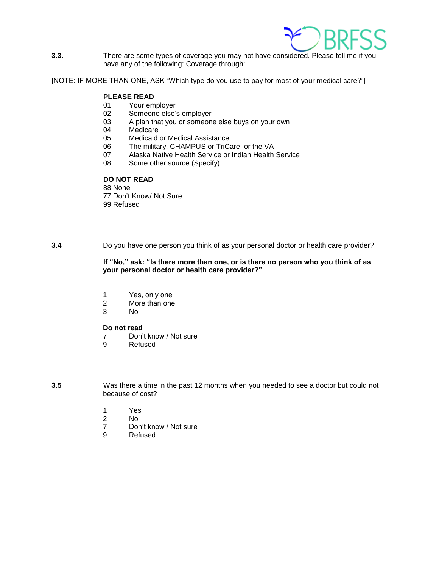

**3.3**. There are some types of coverage you may not have considered. Please tell me if you have any of the following: Coverage through:

[NOTE: IF MORE THAN ONE, ASK "Which type do you use to pay for most of your medical care?"]

## **PLEASE READ**<br>01 Your em

- Your employer
- 02 Someone else's employer
- 03 A plan that you or someone else buys on your own<br>04 Medicare
- Medicare
- 05 Medicaid or Medical Assistance
- 06 The military, CHAMPUS or TriCare, or the VA<br>07 Alaska Native Health Service or Indian Health
- Alaska Native Health Service or Indian Health Service
- 08 Some other source (Specify)

#### **DO NOT READ**

88 None 77 Don't Know/ Not Sure 99 Refused

**3.4** Do you have one person you think of as your personal doctor or health care provider?

#### If "No," ask: "Is there more than one, or is there no person who you think of as **your personal doctor or health care provider?‖**

- 1 Yes, only one
- 2 More than one
- 3 No

#### **Do not read**

- 7 Don't know / Not sure
- 9 Refused

**3.5** Was there a time in the past 12 months when you needed to see a doctor but could not because of cost?

- 1 Yes
- 2 No
- 7 Don't know / Not sure
- 9 Refused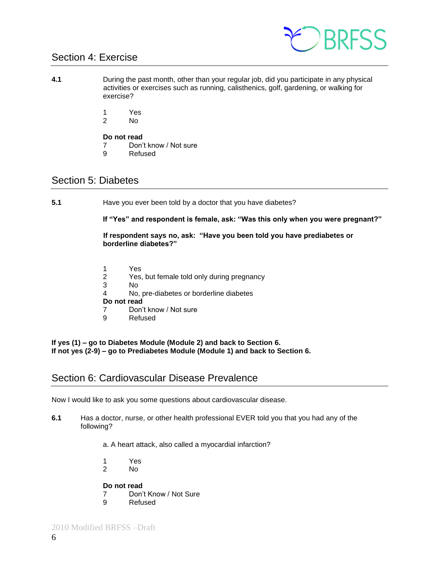

## Section 4: Exercise

- **4.1** During the past month, other than your regular job, did you participate in any physical activities or exercises such as running, calisthenics, golf, gardening, or walking for exercise?
	- 1 Yes
	- 2 No

#### **Do not read**

- 7 Don't know / Not sure
- 9 Refused

## Section 5: Diabetes

**5.1** Have you ever been told by a doctor that you have diabetes?

If "Yes" and respondent is female, ask: "Was this only when you were pregnant?"

If respondent says no, ask: "Have you been told you have prediabetes or **borderline diabetes?‖**

- 1 Yes
- 2 Yes, but female told only during pregnancy
- 3 No
- 4 No, pre-diabetes or borderline diabetes

#### **Do not read**

- 7 Don't know / Not sure
- 9 Refused

**If yes (1) – go to Diabetes Module (Module 2) and back to Section 6. If not yes (2-9) – go to Prediabetes Module (Module 1) and back to Section 6.**

## Section 6: Cardiovascular Disease Prevalence

Now I would like to ask you some questions about cardiovascular disease.

**6.1** Has a doctor, nurse, or other health professional EVER told you that you had any of the following?

a. A heart attack, also called a myocardial infarction?

- 1 Yes
- No.

- 7 Don't Know / Not Sure
- 9 Refused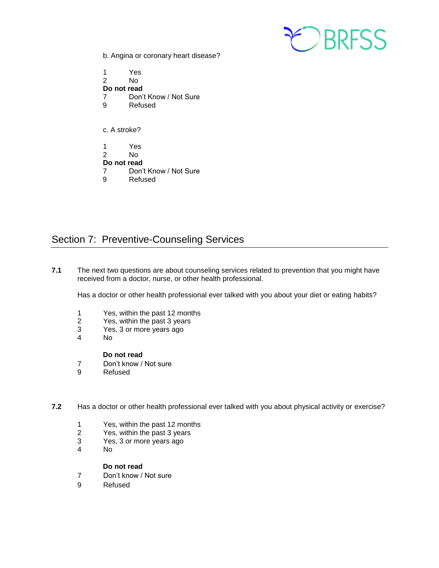

b. Angina or coronary heart disease?

1 Yes No. **Do not read** 7 Don't Know / Not Sure 9 Refused c. A stroke? 1 Yes<br>2 No No. **Do not read** 7 Don't Know / Not Sure

9 Refused

## Section 7: Preventive-Counseling Services

**7.1** The next two questions are about counseling services related to prevention that you might have received from a doctor, nurse, or other health professional.

Has a doctor or other health professional ever talked with you about your diet or eating habits?

- 1 Yes, within the past 12 months<br>2 Yes, within the past 3 years
- Yes, within the past 3 years
- 3 Yes, 3 or more years ago
- 4 No

#### **Do not read**

- 7 Don't know / Not sure
- 9 Refused
- **7.2** Has a doctor or other health professional ever talked with you about physical activity or exercise?
	- 1 Yes, within the past 12 months
	- 2 Yes, within the past 3 years
	- 3 Yes, 3 or more years ago
	- No

- 7 Don't know / Not sure
- 9 Refused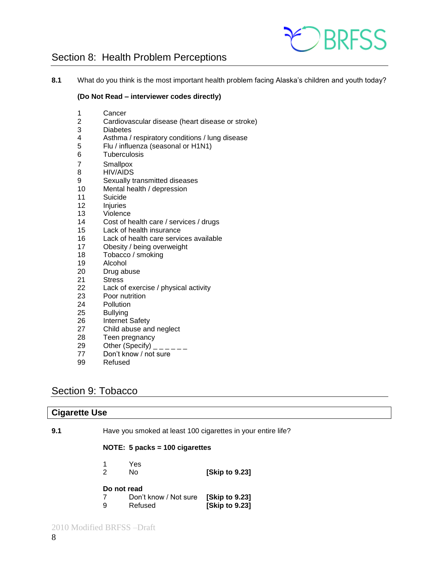

## Section 8: Health Problem Perceptions

**8.1** What do you think is the most important health problem facing Alaska's children and youth today?

#### **(Do Not Read – interviewer codes directly)**

- Cancer
- Cardiovascular disease (heart disease or stroke)
- **Diabetes**
- Asthma / respiratory conditions / lung disease
- Flu / influenza (seasonal or H1N1)
- Tuberculosis
- Smallpox
- HIV/AIDS
- Sexually transmitted diseases
- Mental health / depression
- Suicide
- Injuries
- Violence
- Cost of health care / services / drugs
- Lack of health insurance
- Lack of health care services available
- Obesity / being overweight
- Tobacco / smoking
- Alcohol
- Drug abuse
- Stress
- Lack of exercise / physical activity
- Poor nutrition
- Pollution
- Bullying
- Internet Safety
- Child abuse and neglect
- Teen pregnancy
- 29 Other (Specify)  $\frac{1}{2}$  \_\_\_\_\_
- Don't know / not sure
- Refused

## Section 9: Tobacco

| <b>Cigarette Use</b> |                                                              |                                  |                                  |
|----------------------|--------------------------------------------------------------|----------------------------------|----------------------------------|
| 9.1                  | Have you smoked at least 100 cigarettes in your entire life? |                                  |                                  |
|                      |                                                              | NOTE: $5$ packs = 100 cigarettes |                                  |
|                      | 2                                                            | Yes<br>No.                       | [Skip to 9.23]                   |
|                      | Do not read<br>9                                             | Don't know / Not sure<br>Refused | [Skip to 9.23]<br>[Skip to 9.23] |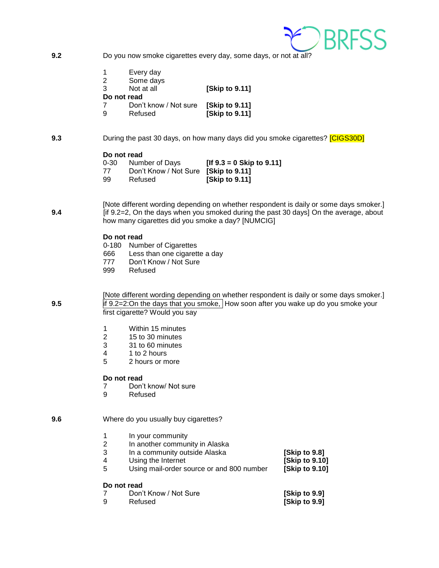

**9.2** Do you now smoke cigarettes every day, some days, or not at all?

| 1 | Every day             |                      |
|---|-----------------------|----------------------|
| 2 | Some days             |                      |
| 3 | Not at all            | [Skip to 9.11]       |
|   | Do not read           |                      |
|   | Don't know / Not sure | <b>Skip to 9.111</b> |
| 9 | Refused               | [Skip to 9.11]       |

#### **9.3** During the past 30 days, on how many days did you smoke cigarettes? **[CIGS30D]**

#### **Do not read**

| $0 - 30$ | Number of Days                       | [If $9.3 = 0$ Skip to $9.11$ ] |
|----------|--------------------------------------|--------------------------------|
| 77       | Don't Know / Not Sure [Skip to 9.11] |                                |
| 99       | Refused                              | [Skip to 9.11]                 |

[Note different wording depending on whether respondent is daily or some days smoker.] **9.4** [if 9.2=2, On the days when you smoked during the past 30 days] On the average, about how many cigarettes did you smoke a day? [NUMCIG]

#### **Do not read**

|     | 0-180 Number of Cigarettes    |
|-----|-------------------------------|
| 666 | Less than one cigarette a day |
| 777 | Don't Know / Not Sure         |
| 999 | Refused                       |

[Note different wording depending on whether respondent is daily or some days smoker.] **9.5** if 9.2=2:On the days that you smoke, How soon after you wake up do you smoke your first cigarette? Would you say

- 1 Within 15 minutes<br>2 15 to 30 minutes
- 2 15 to 30 minutes
- 3 31 to 60 minutes
- 4 1 to 2 hours
- 5 2 hours or more

#### **Do not read**

- 7 Don't know/ Not sure<br>9 Refused
- **Refused**

#### **9.6** Where do you usually buy cigarettes?

| 1 | In your community                         |                |
|---|-------------------------------------------|----------------|
| 2 | In another community in Alaska            |                |
| 3 | In a community outside Alaska             | [Skip to 9.8]  |
| 4 | Using the Internet                        | [Skip to 9.10] |
| 5 | Using mail-order source or and 800 number | [Skip to 9.10] |
|   | Do not read                               |                |
|   | Don't Know / Not Sure                     | [Skip to 9.9]  |
| 9 | Refused                                   | [Skip to 9.9]  |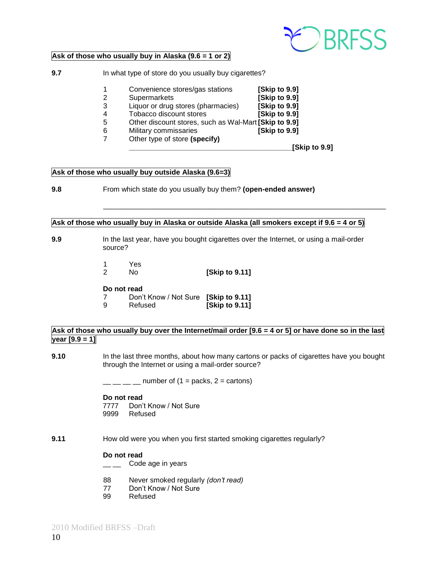

#### **Ask of those who usually buy in Alaska (9.6 = 1 or 2)**

**9.7** In what type of store do you usually buy cigarettes?

- 1 Convenience stores/gas stations **[Skip to 9.9]** 2 Supermarkets **[Skip to 9.9]**
- 3 Liquor or drug stores (pharmacies) **[Skip to 9.9]**
- 
- 4 Tobacco discount stores **[Skip to 9.9]** 5 Other discount stores, such as Wal-Mart **[Skip to 9.9]**
- 6 Military commissaries **[Skip to 9.9]**
- 7 Other type of store **(specify)**

**\_\_\_\_\_\_\_\_\_\_\_\_\_\_\_\_\_\_\_\_\_\_\_\_\_\_\_\_\_\_\_\_\_\_\_\_\_\_\_\_\_[Skip to 9.9]**

#### **Ask of those who usually buy outside Alaska (9.6=3)**

**9.8** From which state do you usually buy them? **(open-ended answer)**

#### Ask of those who usually buy in Alaska or outside Alaska (all smokers except if  $9.6 = 4$  or 5)

\_\_\_\_\_\_\_\_\_\_\_\_\_\_\_\_\_\_\_\_\_\_\_\_\_\_\_\_\_\_\_\_\_\_\_\_\_\_\_\_\_\_\_\_\_\_\_\_\_\_\_\_\_\_\_\_\_\_\_\_\_\_\_\_\_\_\_\_\_\_\_

- **9.9** In the last year, have you bought cigarettes over the Internet, or using a mail-order source?
	- 1 Yes
	- 2 No **[Skip to 9.11]**

#### **Do not read**

- 7 Don't Know / Not Sure **[Skip to 9.11]**
- 9 Refused **[Skip to 9.11]**

#### Ask of those who usually buy over the Internet/mail order [9.6 = 4 or 5] or have done so in the last **year [9.9 = 1]**

**9.10** In the last three months, about how many cartons or packs of cigarettes have you bought through the Internet or using a mail-order source?

 $\frac{1}{2}$  \_\_ \_ \_ number of (1 = packs, 2 = cartons)

#### **Do not read**

7777 Don't Know / Not Sure<br>9999 Refused Refused

**9.11** How old were you when you first started smoking cigarettes regularly?

- <sub>\_\_\_</sub> Code age in years
- 88 Never smoked regularly *(don't read)*
- 77 Don't Know / Not Sure
- 99 Refused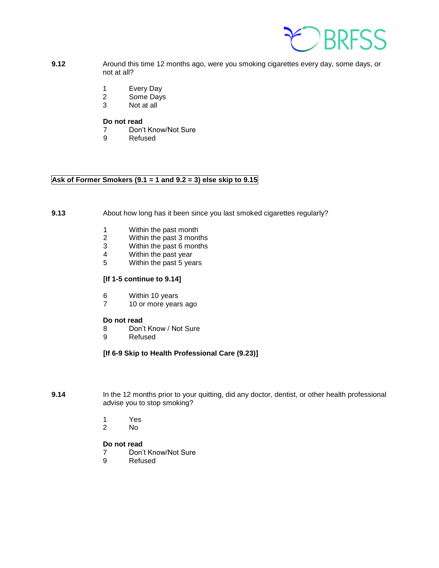

- **9.12** Around this time 12 months ago, were you smoking cigarettes every day, some days, or not at all?
	- 1 Every Day
	- 2 Some Days
	- 3 Not at all

- 7 Don't Know/Not Sure
- 9 Refused

#### **Ask of Former Smokers (9.1 = 1 and 9.2 = 3) else skip to 9.15**

#### **9.13** About how long has it been since you last smoked cigarettes regularly?

- 1 Within the past month<br>2 Within the past 3 mont
- 2 Within the past 3 months<br>3 Within the past 6 months
- Within the past 6 months
- 4 Within the past year<br>5 Within the past 5 year
- 5 Within the past 5 years

#### **[If 1-5 continue to 9.14]**

- 6 Within 10 years
- 7 10 or more years ago

#### **Do not read**

- 8 Don't Know / Not Sure
- 9 Refused

#### **[If 6-9 Skip to Health Professional Care (9.23)]**

- **9.14** In the 12 months prior to your quitting, did any doctor, dentist, or other health professional advise you to stop smoking?
	- 1 Yes
	- 2 No

- 7 Don't Know/Not Sure
- 9 Refused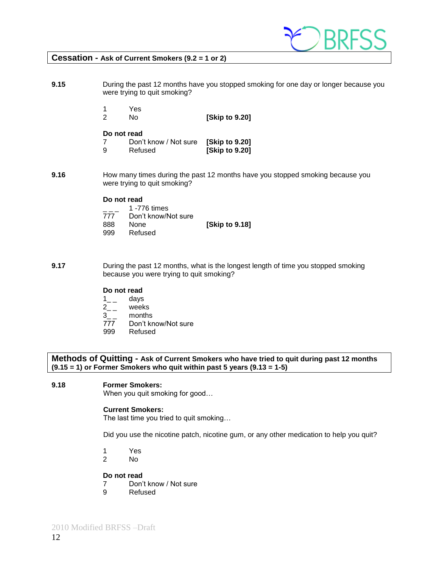

#### **Cessation - Ask of Current Smokers (9.2 = 1 or 2)**

**9.15** During the past 12 months have you stopped smoking for one day or longer because you were trying to quit smoking?

- 1 Yes
- 2 No **[Skip to 9.20]**

#### **Do not read**

- 7 Don't know / Not sure **[Skip to 9.20]** 9 Refused **[Skip to 9.20]**
- **9.16** How many times during the past 12 months have you stopped smoking because you were trying to quit smoking?

#### **Do not read**

|     | 1 -776 times        |                |
|-----|---------------------|----------------|
| 777 | Don't know/Not sure |                |
| 888 | <b>None</b>         | [Skip to 9.18] |
| 999 | Refused             |                |

**9.17** During the past 12 months, what is the longest length of time you stopped smoking because you were trying to quit smoking?

#### **Do not read**

- $\frac{1}{2}$  days<br>2 \_ week
- weeks
- 3\_ \_ months
- 777 Don't know/Not sure
- 999 Refused

**Methods of Quitting - Ask of Current Smokers who have tried to quit during past 12 months (9.15 = 1) or Former Smokers who quit within past 5 years (9.13 = 1-5)**

#### **9.18 Former Smokers:**

When you quit smoking for good…

#### **Current Smokers:**

The last time you tried to quit smoking…

Did you use the nicotine patch, nicotine gum, or any other medication to help you quit?

- 1 Yes
- 2 No

- 7 Don't know / Not sure
- 9 Refused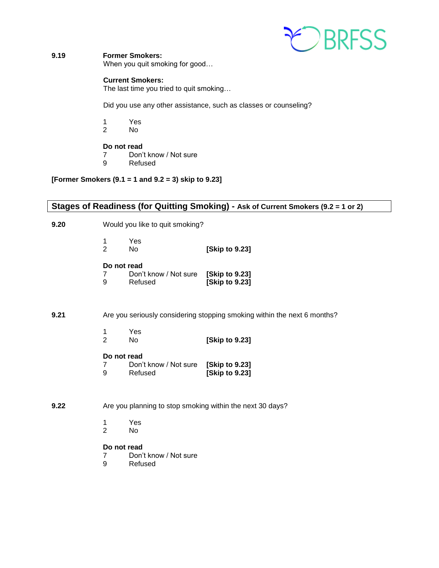

#### **9.19 Former Smokers:**

When you quit smoking for good…

#### **Current Smokers:**

The last time you tried to quit smoking…

Did you use any other assistance, such as classes or counseling?

- 1 Yes<br>2 No
- 2 No

#### **Do not read**

- 7 Don't know / Not sure
- 9 Refused

#### **[Former Smokers (9.1 = 1 and 9.2 = 3) skip to 9.23]**

### **Stages of Readiness (for Quitting Smoking) - Ask of Current Smokers (9.2 = 1 or 2)**

**9.20** Would you like to quit smoking?

|   | Yes. |                |
|---|------|----------------|
| 2 | No.  | [Skip to 9.23] |

#### **Do not read**

| 7 | Don't know / Not sure | [Skip to 9.23] |
|---|-----------------------|----------------|
| 9 | Refused               | [Skip to 9.23] |

#### **9.21** Are you seriously considering stopping smoking within the next 6 months?

|   | Yes. |                |
|---|------|----------------|
| 2 | No   | [Skip to 9.23] |

#### **Do not read**

|   | Don't know / Not sure [Skip to 9.23] |                |
|---|--------------------------------------|----------------|
| 9 | Refused                              | [Skip to 9.23] |

#### **9.22** Are you planning to stop smoking within the next 30 days?

- 1 Yes<br>2 No
- No.

- 7 Don't know / Not sure
- 9 Refused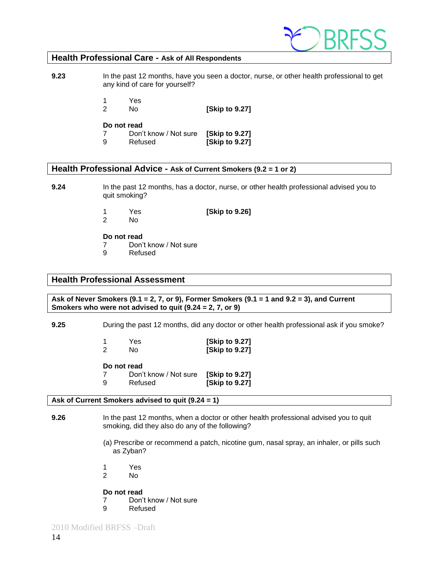

#### **Health Professional Care - Ask of All Respondents**

**9.23** In the past 12 months, have you seen a doctor, nurse, or other health professional to get any kind of care for yourself?

1 Yes

2 No **[Skip to 9.27]**

#### **Do not read**

7 Don't know / Not sure **[Skip to 9.27]**  9 Refused **[Skip to 9.27]**

#### **Health Professional Advice - Ask of Current Smokers (9.2 = 1 or 2)**

**9.24** In the past 12 months, has a doctor, nurse, or other health professional advised you to quit smoking?

1 Yes **[Skip to 9.26]**

2 No

**Do not read**

- 7 Don't know / Not sure
- 9 Refused

#### **Health Professional Assessment**

**Ask of Never Smokers (9.1 = 2, 7, or 9), Former Smokers (9.1 = 1 and 9.2 = 3), and Current Smokers who were not advised to quit (9.24 = 2, 7, or 9)**

**9.25** During the past 12 months, did any doctor or other health professional ask if you smoke?

|   | Yes | [Skip to 9.27] |
|---|-----|----------------|
| 2 | No  | [Skip to 9.27] |

**Do not read**

|   | Don't know / Not sure | [Skip to 9.27] |
|---|-----------------------|----------------|
| 9 | Refused               | [Skip to 9.27] |

#### **Ask of Current Smokers advised to quit (9.24 = 1)**

- **9.26** In the past 12 months, when a doctor or other health professional advised you to quit smoking, did they also do any of the following?
	- (a) Prescribe or recommend a patch, nicotine gum, nasal spray, an inhaler, or pills such as Zyban?
	- 1 Yes
	- 2 No

- 7 Don't know / Not sure<br>9 Refused
- **Refused**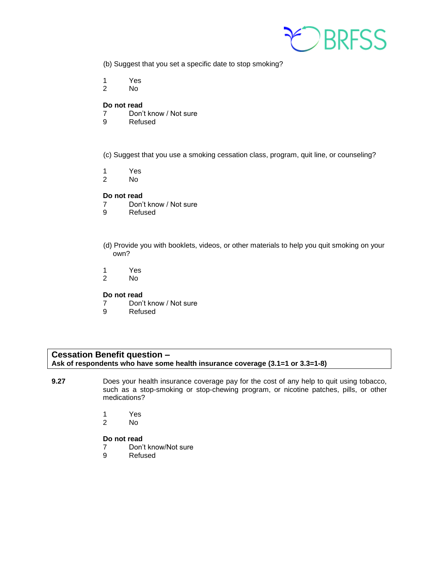

- (b) Suggest that you set a specific date to stop smoking?
- 1 Yes
- 2 No

- 7 Don't know / Not sure
- 9 Refused
- (c) Suggest that you use a smoking cessation class, program, quit line, or counseling?
- 1 Yes<br>2 No
- No.

#### **Do not read**

- 7 Don't know / Not sure
- 9 Refused
- (d) Provide you with booklets, videos, or other materials to help you quit smoking on your own?
- 1 Yes
- 2 No

#### **Do not read**

- 7 Don't know / Not sure
- 9 Refused

#### **Cessation Benefit question – Ask of respondents who have some health insurance coverage (3.1=1 or 3.3=1-8)**

- **9.27** Does your health insurance coverage pay for the cost of any help to quit using tobacco, such as a stop-smoking or stop-chewing program, or nicotine patches, pills, or other medications?
	- 1 Yes
	- 2 No

- 7 Don't know/Not sure<br>9 Refused
- **Refused**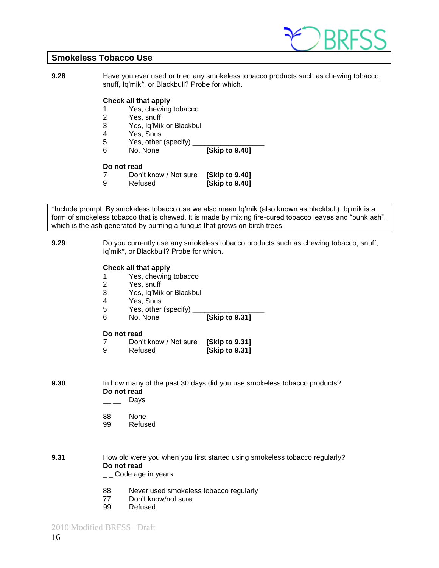

#### **Smokeless Tobacco Use**

**9.28** Have you ever used or tried any smokeless tobacco products such as chewing tobacco, snuff, Iq'mik\*, or Blackbull? Probe for which.

#### **Check all that apply**

- 1 Yes, chewing tobacco
- 2 Yes, snuff
- 3 Yes, Iq'Mik or Blackbull
- 4 Yes, Snus
- 5 Yes, other (specify)
- 6 No, None **[Skip to 9.40]**

#### **Do not read**

- 7 Don't know / Not sure **[Skip to 9.40]**
- 9 Refused **[Skip to 9.40]**

\*Include prompt: By smokeless tobacco use we also mean Iq'mik (also known as blackbull). Iq'mik is a form of smokeless tobacco that is chewed. It is made by mixing fire-cured tobacco leaves and "punk ash", which is the ash generated by burning a fungus that grows on birch trees.

**9.29** Do you currently use any smokeless tobacco products such as chewing tobacco, snuff, Iq'mik\*, or Blackbull? Probe for which.

#### **Check all that apply**

- 1 Yes, chewing tobacco
- 2 Yes, snuff
- 3 Yes, Iq'Mik or Blackbull
- 4 Yes, Snus
- 5 Yes, other (specify)
- 6 No, None **[Skip to 9.31]**

#### **Do not read**

7 Don't know / Not sure **[Skip to 9.31]** 9 Refused **[Skip to 9.31]**

**9.30** In how many of the past 30 days did you use smokeless tobacco products? **Do not read**

- $\equiv$  Days
- 88 None
- 99 Refused
- **9.31** How old were you when you first started using smokeless tobacco regularly? **Do not read**
	- $\mathsf{L}$   $\mathsf{\subseteq}$  Code age in years
	- 88 Never used smokeless tobacco regularly
	- 77 Don't know/not sure
	- 99 Refused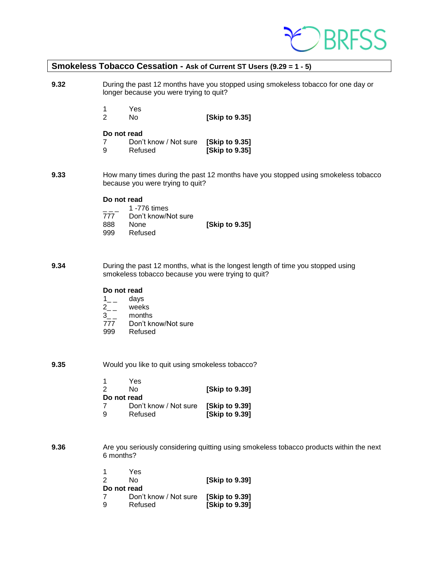

#### **Smokeless Tobacco Cessation - Ask of Current ST Users (9.29 = 1 - 5)**

**9.32** During the past 12 months have you stopped using smokeless tobacco for one day or longer because you were trying to quit?

- 1 Yes
- 2 No **[Skip to 9.35]**

#### **Do not read**

- 7 Don't know / Not sure **[Skip to 9.35] [Skip to 9.35]**
- **9.33** How many times during the past 12 months have you stopped using smokeless tobacco because you were trying to quit?

#### **Do not read**

|     | 1 -776 times        |                |
|-----|---------------------|----------------|
| 777 | Don't know/Not sure |                |
| 888 | <b>None</b>         | [Skip to 9.35] |
| 999 | Refused             |                |

**9.34** During the past 12 months, what is the longest length of time you stopped using smokeless tobacco because you were trying to quit?

#### **Do not read**

- $\frac{1}{2}$  days<br>2 \_ week
- weeks
- 3\_ \_ months
- 777 Don't know/Not sure<br>999 Refused
- Refused
- **9.35** Would you like to quit using smokeless tobacco?

| -1          | Yes                   |                      |
|-------------|-----------------------|----------------------|
| 2           | N٥                    | [Skip to 9.39]       |
| Do not read |                       |                      |
| 7           | Don't know / Not sure | <b>Skip to 9.391</b> |
| 9           | Refused               | [Skip to 9.39]       |

**9.36** Are you seriously considering quitting using smokeless tobacco products within the next 6 months?

|   | Yes                   |                      |
|---|-----------------------|----------------------|
| 2 | N٥                    | [Skip to 9.39]       |
|   | Do not read           |                      |
|   | Don't know / Not sure | <b>Skip to 9.391</b> |
| 9 | Refused               | [Skip to 9.39]       |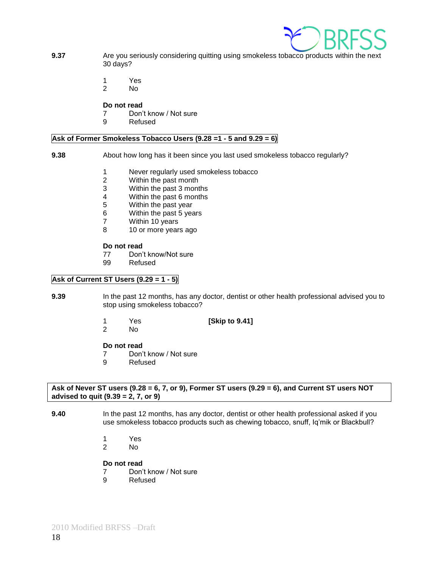

- **9.37** Are you seriously considering quitting using smokeless tobacco products within the next 30 days?
	- 1 Yes
	- 2 No

- 7 Don't know / Not sure
- 9 Refused

#### **Ask of Former Smokeless Tobacco Users (9.28 =1 - 5 and 9.29 = 6)**

#### **9.38** About how long has it been since you last used smokeless tobacco regularly?

- 1 Never regularly used smokeless tobacco
- 2 Within the past month
- 3 Within the past 3 months
- 4 Within the past 6 months
- 
- 5 Within the past year<br>6 Within the past 5 year Within the past 5 years
- 7 Within 10 years
- 8 10 or more years ago

#### **Do not read**

- 77 Don't know/Not sure
- 99 Refused

#### **Ask of Current ST Users (9.29 = 1 - 5)**

- **9.39** In the past 12 months, has any doctor, dentist or other health professional advised you to stop using smokeless tobacco?
	- 1 Yes **[Skip to 9.41]**
	- 2 No

#### **Do not read**

- 7 Don't know / Not sure
- 9 Refused

#### **Ask of Never ST users (9.28 = 6, 7, or 9), Former ST users (9.29 = 6), and Current ST users NOT advised to quit (9.39 = 2, 7, or 9)**

- **9.40** In the past 12 months, has any doctor, dentist or other health professional asked if you use smokeless tobacco products such as chewing tobacco, snuff, Iq'mik or Blackbull?
	- 1 Yes
	- 2 No

- 7 Don't know / Not sure
- 9 Refused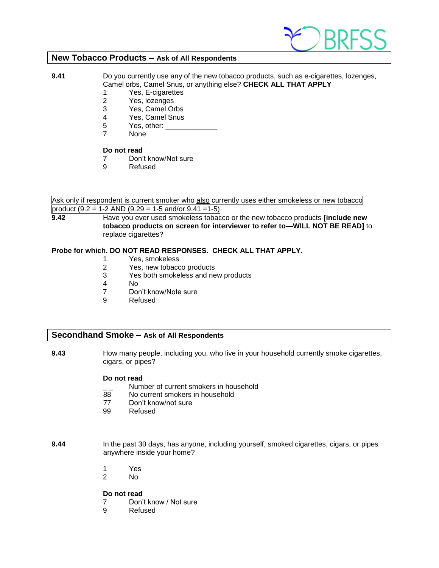

#### **New Tobacco Products – Ask of All Respondents**

**9.41** Do you currently use any of the new tobacco products, such as e-cigarettes, lozenges, Camel orbs, Camel Snus, or anything else? **CHECK ALL THAT APPLY**

- 1 Yes, E-cigarettes
- 2 Yes, lozenges
- 3 Yes, Camel Orbs
- 4 Yes, Camel Snus
- 5 Yes, other:
- 7 None

#### **Do not read**

- 7 Don't know/Not sure
- 9 Refused

Ask only if respondent is current smoker who also currently uses either smokeless or new tobacco product  $(9.2 = 1-2$  AND  $(9.29 = 1-5$  and/or  $9.41 = 1-5)$ 

**9.42** Have you ever used smokeless tobacco or the new tobacco products **[include new tobacco products on screen for interviewer to refer to—WILL NOT BE READ]** to replace cigarettes?

#### **Probe for which. DO NOT READ RESPONSES. CHECK ALL THAT APPLY.**

- 1 Yes, smokeless
- 2 Yes, new tobacco products
- 3 Yes both smokeless and new products
- 4 No
- 7 Don't know/Note sure
- 9 Refused

#### **Secondhand Smoke – Ask of All Respondents**

**9.43** How many people, including you, who live in your household currently smoke cigarettes, cigars, or pipes?

#### **Do not read**

- $\frac{1}{2}$  Number of current smokers in household<br>88 No current smokers in household
- No current smokers in household
- 77 Don't know/not sure
- 99 Refused

**9.44** In the past 30 days, has anyone, including yourself, smoked cigarettes, cigars, or pipes anywhere inside your home?

- 1 Yes
- 2 No

- 7 Don't know / Not sure
- 9 Refused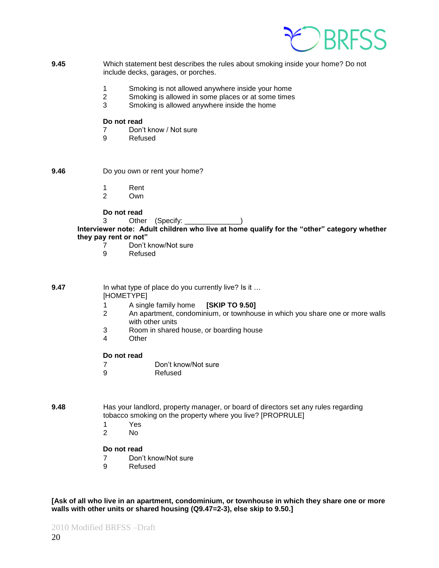

- **9.45** Which statement best describes the rules about smoking inside your home? Do not include decks, garages, or porches.
	- 1 Smoking is not allowed anywhere inside your home
	- 2 Smoking is allowed in some places or at some times
	- 3 Smoking is allowed anywhere inside the home

- 7 Don't know / Not sure
- 9 Refused

**9.46** Do you own or rent your home?

- 1 Rent
- 2 Own

**Do not read**

3 Other (Specify: \_\_\_\_\_\_\_\_\_\_\_\_\_\_\_)

Interviewer note: Adult children who live at home qualify for the "other" category whether they pay rent or not"

- 7 Don't know/Not sure<br>9 Refused
	- **Refused**

**9.47** In what type of place do you currently live? Is it ... [HOMETYPE]

- 1 A single family home **[SKIP TO 9.50]**
- 2 An apartment, condominium, or townhouse in which you share one or more walls with other units
- 3 Room in shared house, or boarding house
- 4 Other

#### **Do not read**

- 7 Don't know/Not sure
- 9 Refused
- **9.48** Has your landlord, property manager, or board of directors set any rules regarding tobacco smoking on the property where you live? [PROPRULE]
	- 1 Yes
	- 2 No

#### **Do not read**

- 7 Don't know/Not sure
- 9 Refused

**[Ask of all who live in an apartment, condominium, or townhouse in which they share one or more walls with other units or shared housing (Q9.47=2-3), else skip to 9.50.]**

2010 Modified BRFSS –Draft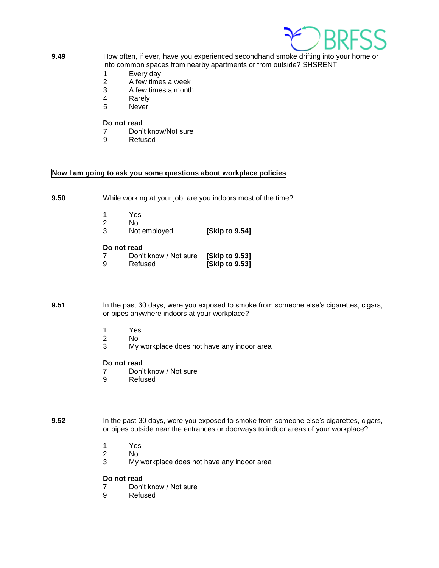

- **9.49** How often, if ever, have you experienced secondhand smoke drifting into your home or into common spaces from nearby apartments or from outside? SHSRENT
	- 1 Every day
	- 2 A few times a week
	- 3 A few times a month
	- 4 Rarely<br>5 Never
	- **Never**

- 7 Don't know/Not sure<br>9 Refused
- **Refused**

#### **Now I am going to ask you some questions about workplace policies**

**9.50** While working at your job, are you indoors most of the time?

- 
- 1 Yes 2 No
- 3 Not employed **[Skip to 9.54]**

#### **Do not read**

| 7 | Don't know / Not sure | [Skip to 9.53] |
|---|-----------------------|----------------|
| 9 | Refused               | [Skip to 9.53] |

**9.51** In the past 30 days, were you exposed to smoke from someone else's cigarettes, cigars, or pipes anywhere indoors at your workplace?

- 1 Yes
- 2 No
- 3 My workplace does not have any indoor area

#### **Do not read**

- 7 Don't know / Not sure<br>9 Refused
- **Refused**

#### **9.52** In the past 30 days, were you exposed to smoke from someone else's cigarettes, cigars, or pipes outside near the entrances or doorways to indoor areas of your workplace?

- 1 Yes<br>2 No
- No.
- 3 My workplace does not have any indoor area

- 7 Don't know / Not sure
- 9 Refused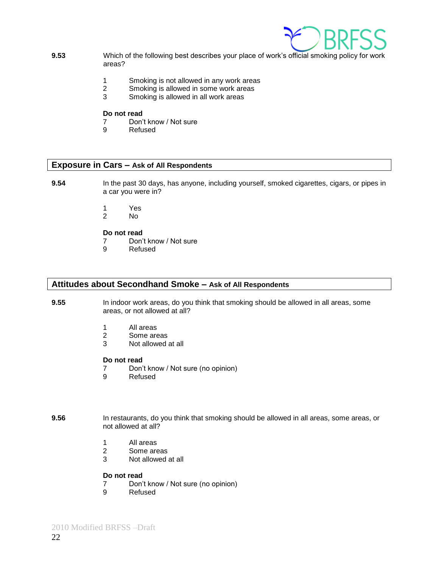

- **9.53** Which of the following best describes your place of work's official smoking policy for work areas?
	- 1 Smoking is not allowed in any work areas
	- 2 Smoking is allowed in some work areas
	- 3 Smoking is allowed in all work areas

- 7 Don't know / Not sure<br>9 Refused
- **Refused**

#### **Exposure in Cars – Ask of All Respondents**

- **9.54** In the past 30 days, has anyone, including yourself, smoked cigarettes, cigars, or pipes in a car you were in?
	- 1 Yes
	- 2 No

#### **Do not read**

- 7 Don't know / Not sure
- 9 Refused

#### **Attitudes about Secondhand Smoke – Ask of All Respondents**

- **9.55** In indoor work areas, do you think that smoking should be allowed in all areas, some areas, or not allowed at all?
	- 1 All areas
	- 2 Some areas
	- 3 Not allowed at all

#### **Do not read**

- 7 Don't know / Not sure (no opinion)
- 9 Refused

**9.56** In restaurants, do you think that smoking should be allowed in all areas, some areas, or not allowed at all?

- 1 All areas
- 2 Some areas
- 3 Not allowed at all

- 7 Don't know / Not sure (no opinion)
- 9 Refused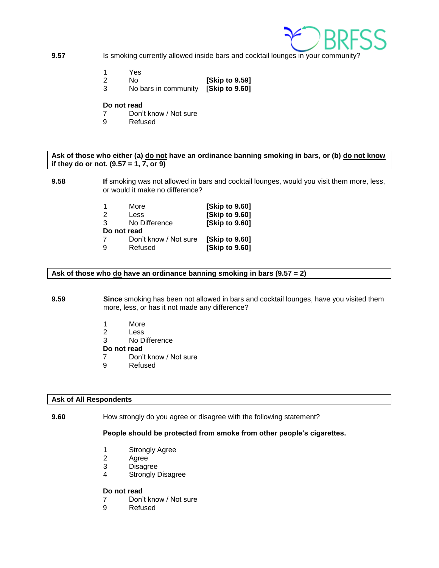

- **9.57** Is smoking currently allowed inside bars and cocktail lounges in your community?
	- 1 Yes
	- 2 No **[Skip to 9.59]**
	- 3 No bars in community **[Skip to 9.60]**

- 7 Don't know / Not sure
- 9 Refused

#### **Ask of those who either (a) do not have an ordinance banning smoking in bars, or (b) do not know if they do or not. (9.57 = 1, 7, or 9)**

#### **9.58 If** smoking was not allowed in bars and cocktail lounges, would you visit them more, less, or would it make no difference?

|               | More                  | [Skip to 9.60]       |
|---------------|-----------------------|----------------------|
| $\mathcal{P}$ | Less                  | [Skip to 9.60]       |
| 3             | No Difference         | [Skip to 9.60]       |
| Do not read   |                       |                      |
|               | Don't know / Not sure | <b>Skip to 9.601</b> |
| 9             | Refused               | [Skip to 9.60]       |
|               |                       |                      |

**Ask of those who do have an ordinance banning smoking in bars (9.57 = 2)**

#### **9.59 Since** smoking has been not allowed in bars and cocktail lounges, have you visited them more, less, or has it not made any difference?

- 1 More
- 2 Less
- 3 No Difference

**Do not read**

- 7 Don't know / Not sure
- 9 Refused

#### **Ask of All Respondents**

**9.60** How strongly do you agree or disagree with the following statement?

#### **People should be protected from smoke from other people's cigarettes.**

- 1 Strongly Agree
- 2 Agree
- 3 Disagree
- 4 Strongly Disagree

- 7 Don't know / Not sure
- 9 Refused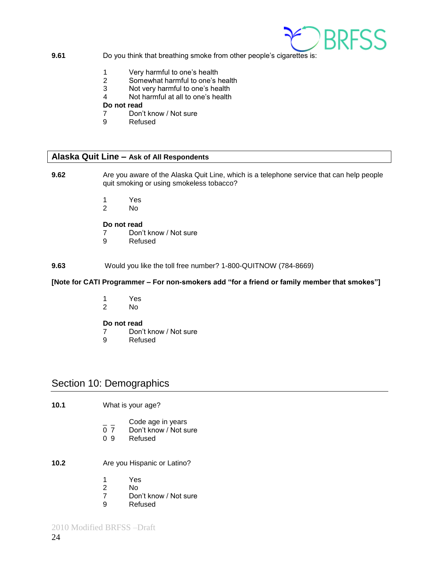

#### **9.61** Do you think that breathing smoke from other people's cigarettes is:

- 1 Very harmful to one's health
- 2 Somewhat harmful to one's health
- 3 Not very harmful to one's health
- 4 Not harmful at all to one's health

#### **Do not read**

- 7 Don't know / Not sure
- 9 Refused

## **Alaska Quit Line – Ask of All Respondents**

- **9.62** Are you aware of the Alaska Quit Line, which is a telephone service that can help people quit smoking or using smokeless tobacco?
	- 1 Yes<br>2 No
	- No.

#### **Do not read**

- 7 Don't know / Not sure
- 9 Refused

#### **9.63** Would you like the toll free number? 1-800-QUITNOW (784-8669)

#### [Note for CATI Programmer – For non-smokers add "for a friend or family member that smokes"]

- 1 Yes
- 2 No

#### **Do not read**

- 7 Don't know / Not sure
- 9 Refused

#### Section 10: Demographics

- **10.1** What is your age?
	- $\frac{1}{2}$  Code age in years<br>0 7 Don't know / Not su
	- Don't know / Not sure
	- 0 9 Refused
- **10.2** Are you Hispanic or Latino?
	- 1 Yes
	- 2 No
	- 7 Don't know / Not sure
	- 9 Refused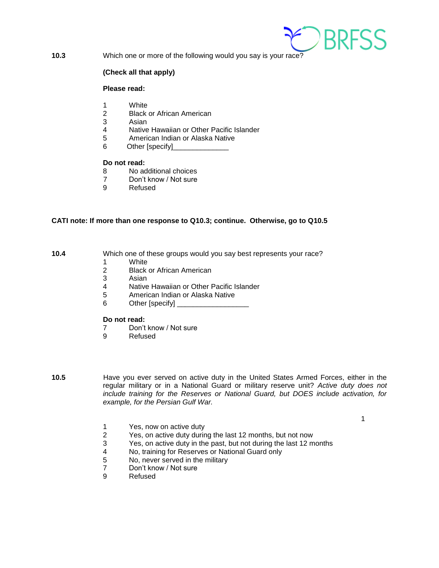

**10.3** Which one or more of the following would you say is your race?

#### **(Check all that apply)**

#### **Please read:**

- 1 White
- 2 Black or African American
- 3 Asian<br>4 Native
- Native Hawaiian or Other Pacific Islander
- 5 American Indian or Alaska Native
- 6 Other [specify]

#### **Do not read:**

- 8 No additional choices
- 7 Don't know / Not sure
- 9 Refused

#### **CATI note: If more than one response to Q10.3; continue. Otherwise, go to Q10.5**

**10.4** Which one of these groups would you say best represents your race?

- 1 White<br>2 Black
- **Black or African American**
- 3 Asian
- 4 Native Hawaiian or Other Pacific Islander
- 5 American Indian or Alaska Native
- 6 Other [specify] \_\_\_\_\_\_\_\_\_\_\_\_\_\_\_\_\_\_

#### **Do not read:**

- 7 Don't know / Not sure
- 9 Refused
- 

**10.5** Have you ever served on active duty in the United States Armed Forces, either in the regular military or in a National Guard or military reserve unit? *Active duty does not include training for the Reserves or National Guard, but DOES include activation, for example, for the Persian Gulf War.* 

1

- 1 Yes, now on active duty
- 2 Yes, on active duty during the last 12 months, but not now
- 3 Yes, on active duty in the past, but not during the last 12 months<br>4 Notraining for Reserves or National Guard only
- No, training for Reserves or National Guard only
- 5 No, never served in the military
- 7 Don't know / Not sure
- 9 Refused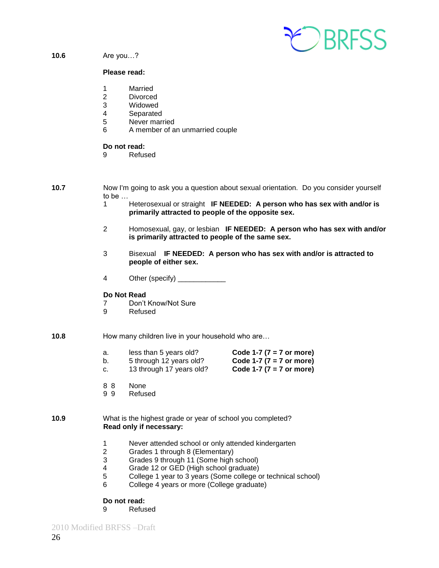

#### **10.6** Are you…?

#### **Please read:**

- 1 Married
- 2 Divorced
- 3 Widowed
- 4 Separated
- 5 Never married
- 6 A member of an unmarried couple

#### **Do not read:**

- 9 Refused
- **10.7** Now I'm going to ask you a question about sexual orientation. Do you consider yourself to be …
	- 1 Heterosexual or straight **IF NEEDED: A person who has sex with and/or is primarily attracted to people of the opposite sex.**
	- 2 Homosexual, gay, or lesbian **IF NEEDED: A person who has sex with and/or is primarily attracted to people of the same sex.**
	- 3 Bisexual **IF NEEDED: A person who has sex with and/or is attracted to people of either sex.**
	- 4 Other (specify) \_\_\_\_\_\_\_\_\_\_\_\_

#### **Do Not Read**

- 7 Don't Know/Not Sure
- 9 Refused
- **10.8** How many children live in your household who are...
	- a. less than 5 years old? **Code 1-7 (7 = 7 or more)**
		-
	- b. 5 through 12 years old? **Code 1-7 (7 = 7 or more)**
	- c. 13 through 17 years old? **Code 1-7 (7 = 7 or more)**
	- 8 8 None
	- 9 9 Refused

#### **10.9** What is the highest grade or year of school you completed? **Read only if necessary:**

- 1 Never attended school or only attended kindergarten
- 2 Grades 1 through 8 (Elementary)
- 3 Grades 9 through 11 (Some high school)
- 4 Grade 12 or GED (High school graduate)
- 5 College 1 year to 3 years (Some college or technical school)
- 6 College 4 years or more (College graduate)

#### **Do not read:**

9 Refused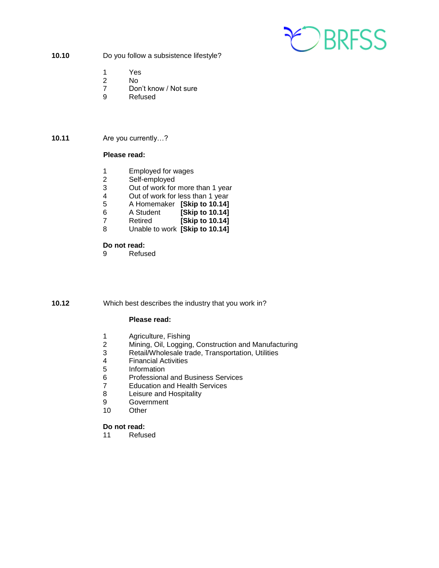

**10.10** Do you follow a subsistence lifestyle?

- 1 Yes
- No.
- 7 Don't know / Not sure
- 9 Refused

#### **10.11** Are you currently…?

#### **Please read:**

- 1 Employed for wages<br>2 Self-employed
- Self-employed
- 3 Out of work for more than 1 year<br>4 Out of work for less than 1 year
- 4 Out of work for less than 1 year<br>5 A Homemaker **Skip to 10.14**
- 5 A Homemaker **[Skip to 10.14]**
- 6 A Student **[Skip to 10.14]**
- 7 Retired **[Skip to 10.14]**
- 8 Unable to work **[Skip to 10.14]**

#### **Do not read:**

9 Refused

**10.12** Which best describes the industry that you work in?

#### **Please read:**

- 1 Agriculture, Fishing<br>2 Mining, Oil, Logging
- 2 Mining, Oil, Logging, Construction and Manufacturing
- Retail/Wholesale trade, Transportation, Utilities
- 4 Financial Activities
- **Information**
- 6 Professional and Business Services
- 7 Education and Health Services
- 8 Leisure and Hospitality<br>9 Government
- **Government**
- 10 Other

#### **Do not read:**

11 Refused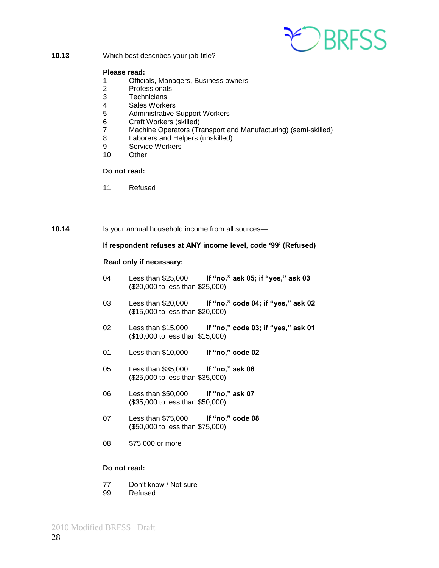

**10.13** Which best describes your job title?

#### **Please read:**

- 1 Officials, Managers, Business owners
- 2 Professionals
- 3 Technicians
- 4 Sales Workers
- 5 Administrative Support Workers
- 6 Craft Workers (skilled)
- 7 Machine Operators (Transport and Manufacturing) (semi-skilled)
- 8 Laborers and Helpers (unskilled)
- 9 Service Workers<br>10 Other
- Other

#### **Do not read:**

11 Refused

#### 10.14 Is your annual household income from all sources—

#### **If respondent refuses at ANY income level, code ‗99' (Refused)**

#### **Read only if necessary:**

- 04 Less than \$25,000 If "no," ask 05; if "yes," ask 03 (\$20,000 to less than \$25,000)
- 03 Less than \$20,000 If "no," code 04; if "yes," ask 02 (\$15,000 to less than \$20,000)
- 02 Less than \$15,000 **If "no," code 03; if "yes," ask 01** (\$10,000 to less than \$15,000)
- 01 Less than \$10,000 If "no," code 02
- 05 Less than \$35,000 **If "no," ask 06** (\$25,000 to less than \$35,000)
- 06 Less than \$50,000 **If "no," ask 07** (\$35,000 to less than \$50,000)
- 07 Less than \$75,000 **If "no," code 08** (\$50,000 to less than \$75,000)
- 08 \$75,000 or more

- 77 Don't know / Not sure
- 99 Refused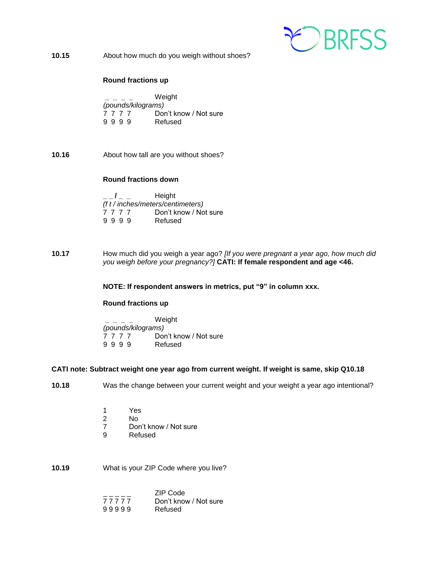

**10.15** About how much do you weigh without shoes?

#### **Round fractions up**

**\_ \_ \_ \_** Weight *(pounds/kilograms)* 7 7 7 7 Don't know / Not sure 9 9 9 9 Refused

**10.16** About how tall are you without shoes?

#### **Round fractions down**

|                                   |  |  |  | Height<br>$\mathbf{I}$ and $\mathbf{I}$ and $\mathbf{I}$ |  |
|-----------------------------------|--|--|--|----------------------------------------------------------|--|
| (f t / inches/meters/centimeters) |  |  |  |                                                          |  |
| 7777                              |  |  |  | Don't know / Not sure                                    |  |
| 9999                              |  |  |  | Refused                                                  |  |

**10.17** How much did you weigh a year ago? *[If you were pregnant a year ago, how much did you weigh before your pregnancy?]* **CATI: If female respondent and age <46.**

**NOTE: If respondent answers in metrics, put "9" in column xxx.** 

#### **Round fractions up**

**\_ \_ \_ \_** Weight *(pounds/kilograms)* 7 7 7 7 Don't know / Not sure 9 9 9 9 Refused

#### **CATI note: Subtract weight one year ago from current weight. If weight is same, skip Q10.18**

- **10.18** Was the change between your current weight and your weight a year ago intentional?
	- 1 Yes
	- 2 No
	- 7 Don't know / Not sure
	- 9 Refused

#### **10.19** What is your ZIP Code where you live?

|       | ZIP Code              |
|-------|-----------------------|
| 77777 | Don't know / Not sure |
| 99999 | Refused               |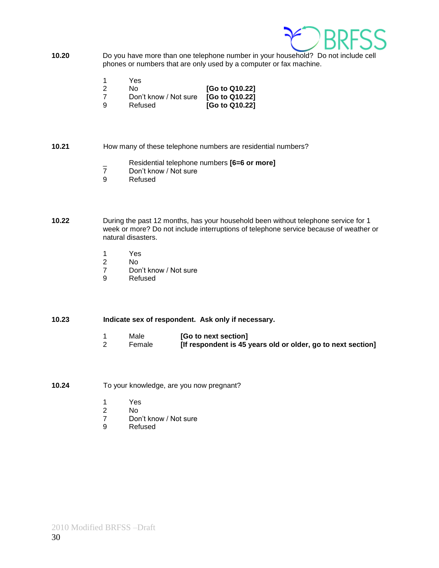

- **10.20** Do you have more than one telephone number in your household? Do not include cell phones or numbers that are only used by a computer or fax machine.
	- 1 Yes<br>2 No
	- 2 No **[Go to Q10.22]**
	- 7 Don't know / Not sure **[Go to Q10.22]**
	- 9 Refused **[Go to Q10.22]**

#### **10.21** How many of these telephone numbers are residential numbers?

- \_ Residential telephone numbers **[6=6 or more]**
- 7 Don't know / Not sure<br>9 Refused
- **Refused**
- **10.22** During the past 12 months, has your household been without telephone service for 1 week or more? Do not include interruptions of telephone service because of weather or natural disasters.
	- 1 Yes
	- 2 No
	- 7 Don't know / Not sure
	- 9 Refused

#### **10.23 Indicate sex of respondent. Ask only if necessary.**

- 1 Male **[Go to next section]**<br>2 Female **IIf respondent is 45**
- 2 Female **[If respondent is 45 years old or older, go to next section]**
- **10.24** To your knowledge, are you now pregnant?
	- 1 Yes
	- 2 No
	- 7 Don't know / Not sure<br>9 Refused
	- **Refused**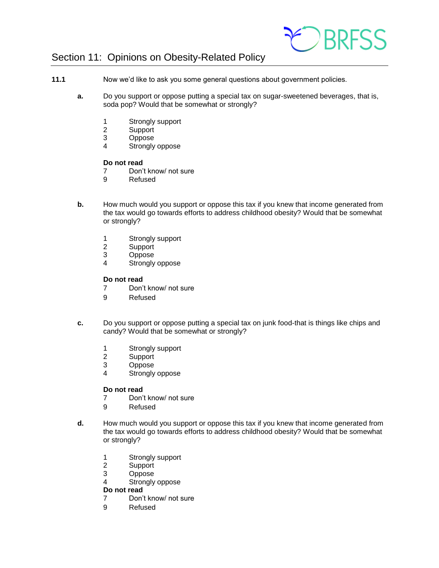

## Section 11: Opinions on Obesity-Related Policy

- **11.1** Now we'd like to ask you some general questions about government policies.
	- **a.** Do you support or oppose putting a special tax on sugar-sweetened beverages, that is, soda pop? Would that be somewhat or strongly?
		- 1 Strongly support<br>2 Support
		- 2 Support<br>3 Oppose
		- **Oppose**
		- 4 Strongly oppose

#### **Do not read**

- 7 Don't know/ not sure
- 9 Refused
- **b.** How much would you support or oppose this tax if you knew that income generated from the tax would go towards efforts to address childhood obesity? Would that be somewhat or strongly?
	- 1 Strongly support
	- 2 Support
	- 3 Oppose
	- 4 Strongly oppose

#### **Do not read**

- 7 Don't know/ not sure
- 9 Refused
- **c.** Do you support or oppose putting a special tax on junk food-that is things like chips and candy? Would that be somewhat or strongly?
	- 1 Strongly support
	- 2 Support
	- 3 Oppose
	- 4 Strongly oppose

#### **Do not read**

- 7 Don't know/ not sure
- 9 Refused
- **d.** How much would you support or oppose this tax if you knew that income generated from the tax would go towards efforts to address childhood obesity? Would that be somewhat or strongly?
	- 1 Strongly support<br>2 Support
	- **Support**
	- 3 Oppose
	- 4 Strongly oppose

- 7 Don't know/ not sure
- 9 Refused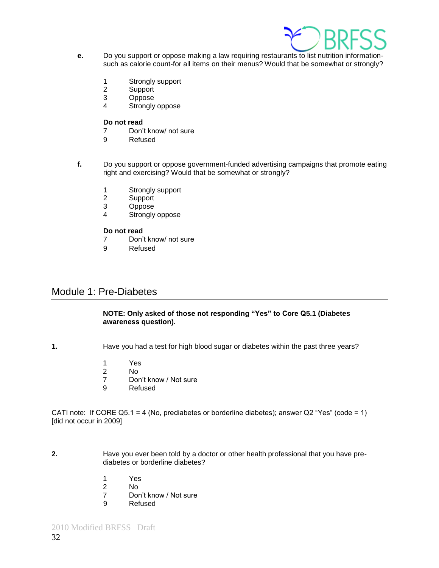

- **e.** Do you support or oppose making a law requiring restaurants to list nutrition informationsuch as calorie count-for all items on their menus? Would that be somewhat or strongly?
	- 1 Strongly support
	- 2 Support
	- 3 Oppose
	- 4 Strongly oppose

- 7 Don't know/ not sure
- 9 Refused
- **f.** Do you support or oppose government-funded advertising campaigns that promote eating right and exercising? Would that be somewhat or strongly?
	- 1 Strongly support<br>2 Support
	- **Support**
	- 3 Oppose
	- 4 Strongly oppose

#### **Do not read**

- 7 Don't know/ not sure
- 9 Refused

#### Module 1: Pre-Diabetes

#### **NOTE: Only asked of those not responding "Yes" to Core Q5.1 (Diabetes awareness question).**

**1.** Have you had a test for high blood sugar or diabetes within the past three years?

- 1 Yes
- 2 No
- 7 Don't know / Not sure
- 9 Refused

CATI note: If CORE Q5.1 = 4 (No, prediabetes or borderline diabetes); answer Q2 "Yes" (code = 1) [did not occur in 2009]

- **2.** Have you ever been told by a doctor or other health professional that you have prediabetes or borderline diabetes?
	- 1 Yes
	- 2 No
	- 7 Don't know / Not sure
	- 9 Refused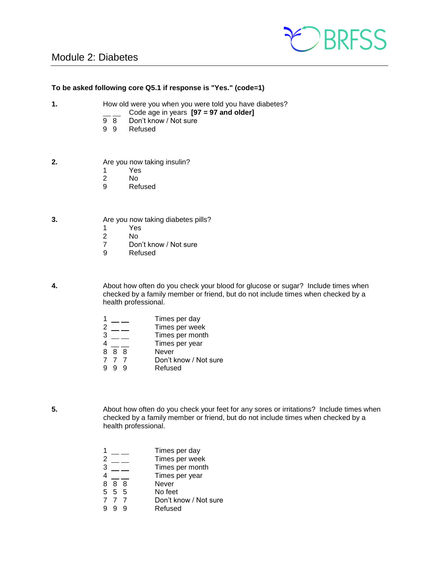## Module 2: Diabetes



#### **To be asked following core Q5.1 if response is "Yes." (code=1)**

- **1.** How old were you when you were told you have diabetes?
	- Code age in years **[97 = 97 and older]**<br>9 8 Don't know / Not sure
	- Don't know / Not sure
	- 9 9 Refused
- **2.** Are you now taking insulin?
	- 1 Yes
	- 2 No<br>9 Ref
	- **Refused**
- **3.** Are you now taking diabetes pills?
	- 1 Yes
	- No.
	- 7 Don't know / Not sure
	- 9 Refused

**4.** About how often do you check your blood for glucose or sugar? Include times when checked by a family member or friend, but do not include times when checked by a health professional.

|   |     | Times per day         |
|---|-----|-----------------------|
| 2 |     | Times per week        |
| 3 |     | Times per month       |
| 4 |     | Times per year        |
|   | 888 | Never                 |
|   | 777 | Don't know / Not sure |
|   | g   | Refused               |
|   |     |                       |

**5.** About how often do you check your feet for any sores or irritations? Include times when checked by a family member or friend, but do not include times when checked by a health professional.

- 1 \_\_ \_ Times per day
- 
- 2 \_\_\_ Times per week<br>3 \_\_\_ Times per mont Times per month
- 4 \_\_ \_ Times per year
- 8 8 8 Never
- 5 5 5 No feet
- 7 7 7 Don't know / Not sure<br>9 9 9 Refused
- **Refused**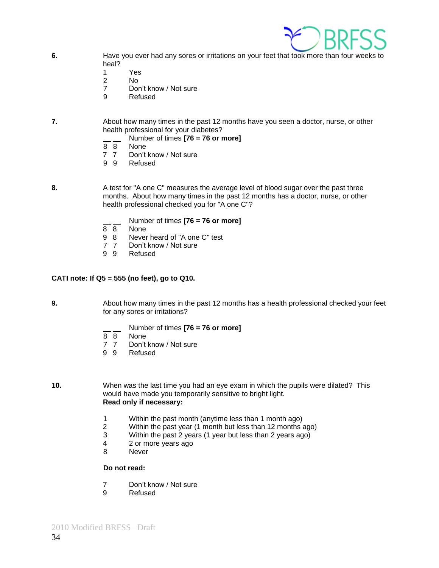

- **6.** Have you ever had any sores or irritations on your feet that took more than four weeks to heal?
	- 1 Yes
	- 2 No
	- 7 Don't know / Not sure
	- 9 Refused
- **7.** About how many times in the past 12 months have you seen a doctor, nurse, or other health professional for your diabetes?
	- Number of times **[76 = 76 or more]**
	- 8 8 None<br>7 7 Don't
	- Don't know / Not sure
	- 9 9 Refused
	-
- **8.** A test for "A one C" measures the average level of blood sugar over the past three months. About how many times in the past 12 months has a doctor, nurse, or other health professional checked you for "A one C"?
	- $\frac{1}{8}$  Number of times **[76 = 76 or more]**
	- None
	- 9 8 Never heard of "A one C" test<br>7 7 Don't know / Not sure
	- Don't know / Not sure
	- 9 9 Refused

#### **CATI note: If Q5 = 555 (no feet), go to Q10.**

**9.** About how many times in the past 12 months has a health professional checked your feet for any sores or irritations?

- Number of times **[76 = 76 or more]**
- 8 8 None
- 7 7 Don't know / Not sure
- 9 9 Refused

**10.** When was the last time you had an eye exam in which the pupils were dilated? This would have made you temporarily sensitive to bright light. **Read only if necessary:**

- 1 Within the past month (anytime less than 1 month ago)
- Within the past year (1 month but less than 12 months ago)
- 3 Within the past 2 years (1 year but less than 2 years ago)
- 4 2 or more years ago
- 8 Never

- 7 Don't know / Not sure<br>9 Refused
- **Refused**